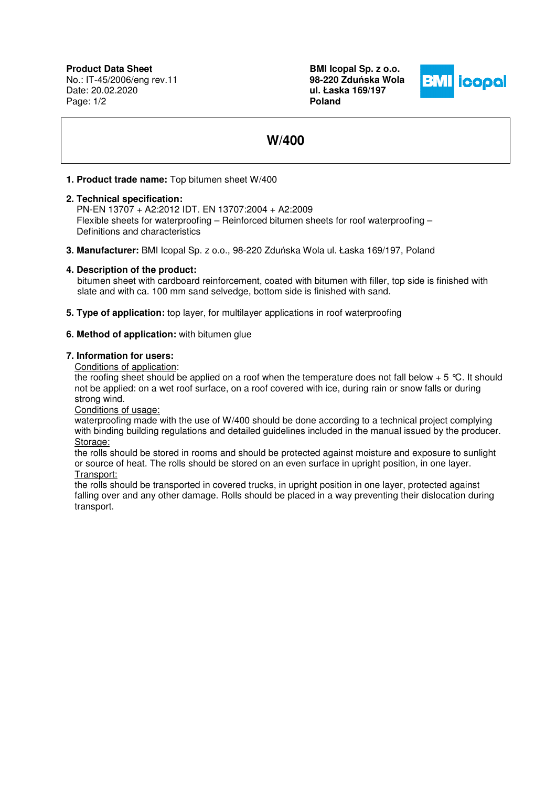**Product Data Sheet** No.: IT-45/2006/eng rev.11 Date: 20.02.2020 Page: 1/2

**BMI Icopal Sp. z o.o. 98-220 Zdu**ń**ska Wola ul. Łaska 169/197 Poland** 



# **W/400**

### **1. Product trade name:** Top bitumen sheet W/400

#### **2. Technical specification:**

PN-EN 13707 + A2:2012 IDT. EN 13707:2004 + A2:2009 Flexible sheets for waterproofing – Reinforced bitumen sheets for roof waterproofing – Definitions and characteristics

**3. Manufacturer:** BMI Icopal Sp. z o.o., 98-220 Zduńska Wola ul. Łaska 169/197, Poland

#### **4. Description of the product:**

 bitumen sheet with cardboard reinforcement, coated with bitumen with filler, top side is finished with slate and with ca. 100 mm sand selvedge, bottom side is finished with sand.

**5. Type of application:** top layer, for multilayer applications in roof waterproofing

#### **6. Method of application:** with bitumen glue

#### **7. Information for users:**

Conditions of application:

the roofing sheet should be applied on a roof when the temperature does not fall below  $+5$  °C. It should not be applied: on a wet roof surface, on a roof covered with ice, during rain or snow falls or during strong wind.

Conditions of usage:

waterproofing made with the use of W/400 should be done according to a technical project complying with binding building regulations and detailed guidelines included in the manual issued by the producer. Storage:

the rolls should be stored in rooms and should be protected against moisture and exposure to sunlight or source of heat. The rolls should be stored on an even surface in upright position, in one layer. Transport:

the rolls should be transported in covered trucks, in upright position in one layer, protected against falling over and any other damage. Rolls should be placed in a way preventing their dislocation during transport.